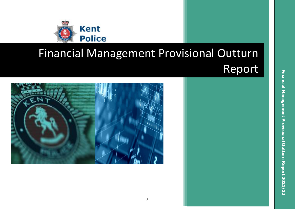

# Financial Management Provisional Outturn Report

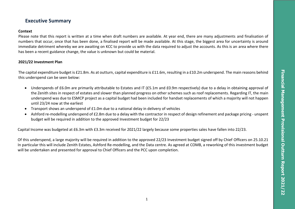# **Executive Summary**

#### **Context**

Please note that this report is written at a time when draft numbers are available. At year end, there are many adjustments and finalisation of numbers that occur, once that has been done, a finalised report will be made available. At this stage, the biggest area for uncertainty is around immediate detriment whereby we are awaiting on KCC to provide us with the data required to adjust the accounts. As this is an area where there has been a recent guidance change, the value is unknown but could be material.

### **2021/22 Investment Plan**

The capital expenditure budget is £21.8m. As at outturn, capital expenditure is £11.6m, resulting in a £10.2m underspend. The main reasons behind this underspend can be seen below:

- Underspends of £6.0m are primarily attributable to Estates and IT (£5.1m and £0.9m respectively) due to a delay in obtaining approval of the Zenith sites in respect of estates and slower than planned progress on other schemes such as roof replacements. Regarding IT, the main underspend was due to ESMCP project as a capital budget had been included for handset replacements of which a majority will not happen until 23/24 now at the earliest
- Transport shows an underspend of £1.0m due to a national delay in delivery of vehicles
- Ashford re-modelling underspend of £2.8m due to a delay with the contractor in respect of design refinement and package pricing unspent budget will be required in addition to the approved Investment budget for 22/23

Capital Income was budgeted at £6.3m with £3.3m received for 2021/22 largely because some properties sales have fallen into 22/23.

Of this underspend, a large majority will be required in addition to the approved 22/23 Investment budget signed off by Chief Officers on 25.10.21 In particular this will include Zenith Estates, Ashford Re-modelling, and the Data centre. As agreed at COMB, a reworking of this investment budget will be undertaken and presented for approval to Chief Officers and the PCC upon completion.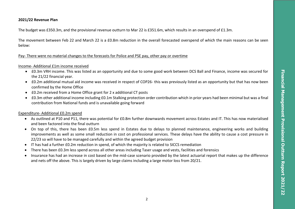#### **2021/22 Revenue Plan**

The budget was £350.3m, and the provisional revenue outturn to Mar 22 is £351.6m, which results in an overspend of £1.3m.

The movement between Feb 22 and March 22 is a £0.8m reduction in the overall forecasted overspend of which the main reasons can be seen below:

#### Pay- There were no material changes to the forecasts for Police and PSE pay, other pay or overtime

#### Income- Additional £1m income received

- £0.3m VRH income. This was listed as an opportunity and due to some good work between DCS Ball and Finance, income was secured for the 21/22 financial year.
- £0.2m additional mutual aid income was received in respect of COP26- this was previously listed as an opportunity but that has now been confirmed by the Home Office
- £0.2m received from a Home Office grant for 2 x additional CT posts
- £0.3m other additional income including £0.1m Stalking protection order contribution which in prior years had been minimal but was a final contribution from National funds and is unavailable going forward

#### Expenditure- Additional £0.2m spend

- As outlined at P10 and P11, there was potential for £0.8m further downwards movement across Estates and IT. This has now materialised and been factored into the final outturn
- On top of this, there has been £0.5m less spend in Estates due to delays to planned maintenance, engineering works and building improvements as well as some small reduction in cost on professional services. These delays have the ability to cause a cost pressure in 22/23 so will have to be managed carefully and within the agreed budget provision
- IT has had a further £0.2m reduction in spend, of which the majority is related to SICCS remediation
- There has been £0.3m less spend across all other areas including Taser usage and vests, facilities and forensics
- Insurance has had an increase in cost based on the mid-case scenario provided by the latest actuarial report that makes up the difference and nets off the above. This is largely driven by large claims including a large motor loss from 20/21.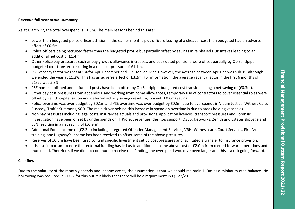#### **Revenue full year actual summary**

As at March 22, the total overspend is £1.3m. The main reasons behind this are:

- Lower than budgeted police officer attrition in the earlier months plus officers leaving at a cheaper cost than budgeted had an adverse effect of £0.6m.
- Police officers being recruited faster than the budgeted profile but partially offset by savings in re phased PUP intakes leading to an additional net cost of £1.4m.
- Other Police pay pressures such as pay growth, allowance increases, and back dated pensions were offset partially by Op Sandpiper budgeted cost transfers resulting in a net cost pressure of £1.1m.
- PSE vacancy factor was set at 9% for Apr-December and 11% for Jan-Mar. However, the average between Apr-Dec was sub 9% although we ended the year at 11.2%. This has an adverse effect of £3.2m. For information, the average vacancy factor in the first 6 months of 21/22 was 5.8%.
- PSE non-established and unfunded posts have been offset by Op Sandpiper budgeted cost transfers being a net saving of (£0.3m).
- Other pay cost pressures from appendix E and working from home allowances, temporary use of contractors to cover essential roles were offset by Zenith capitalisation and deferred activity savings resulting in a net (£0.6m) saving.
- Police overtime was over budget by £0.1m and PSE overtime was over budget by £0.5m due to overspends in Victim Justice, Witness Care, Custody, Traffic Summons, SCD. The main driver behind this increase in spend on overtime is due to areas holding vacancies.
- Non pay pressures including legal costs, insurances actuals and provisions, application licences, transport pressures and Forensic investigation have been offset by underspends on IT Project revenues, desktop support, O365, Networks, Zenith and Estates slippage and ESN resulting in a net saving of (£0.9m).
- Additional Force income of (£2.3m) including Integrated Offender Management Services, VRH, Witness care, Court Services, Fire Arms training, and Highway's income has been received to offset some of the above pressures.
- Reserves of £0.5m have been used to fund specific Investment set up cost pressures and facilitated a transfer to insurance provision.
- It is also important to note that external funding has led us to additional income above cost of £2.0m from carried forward operations and mutual aid. Therefore, if we did not continue to receive this funding, the overspend would've been larger and this is a risk going forward.

## **Cashflow**

Due to the volatility of the monthly spends and income cycles, the assumption is that we should maintain £10m as a minimum cash balance. No borrowing was required in 21/22 for this but it is likely that there will be a requirement in Q1 22/23.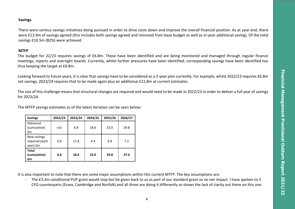#### **Savings**

There were various savings initiatives being pursued in order to drive costs down and improve the overall financial position. As at year end, there were £12.9m of savings agreed (this includes both savings agreed and removed from base budget as well as in-year additional saving). Of the total savings £10.5m (82%) were achieved.

#### **MTFP**

The budget for 22/23 requires savings of £6.8m. These have been identified and are being monitored and managed through regular finance meetings, reports and oversight boards. Currently, whilst further pressures have been identified, corresponding savings have been identified too thus keeping the target at £6.8m.

Looking forward to future years, it is clear that savings have to be considered as a 2-year plan currently. For example, whilst 2022/23 requires £6.8m net savings, 2023/24 requires that to be made again plus an additional £11.8m at current estimates.

The size of this challenge means that structural changes are required and would need to be made in 2022/23 in order to deliver a full year of savings for 2023/24.

| The MTFP savings estimates as of the latest iteration can be seen below: |  |  |  |  |
|--------------------------------------------------------------------------|--|--|--|--|
|                                                                          |  |  |  |  |

| <b>Savings</b>                            | 2022/23 | 2023/24 | 2024/25 | 2025/26 | 2026/27 |
|-------------------------------------------|---------|---------|---------|---------|---------|
| Delivered<br>(cumulative)<br>£m           | n/a     | 6.8     | 18.6    | 23.0    | 29.8    |
| New savings<br>required (each<br>year) £m | 6.8     | 11.8    | 4.4     | 6.8     | 7.2     |
| <b>Total</b><br>(cumulative)<br>£m        | 6.8     | 18.6    | 23.0    | 29.8    | 37.0    |

It is also important to note that there are some major assumptions within this current MTFP. The key assumptions are:

- The £3.3m conditional PUP grant would stop but be given back to us as part of our standard grant so no net impact. I have spoken to 3 CFO counterparts (Essex, Cambridge and Norfolk) and all three are doing it differently so shows the lack of clarity out there on this one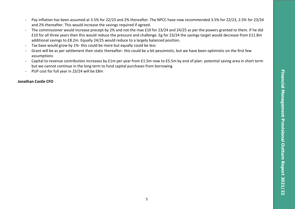- Pay inflation has been assumed at 3.5% for 22/23 and 2% thereafter. The NPCC have now recommended 3.5% for 22/23, 2.5% for 23/24 and 2% thereafter. This would increase the savings required if agreed.
- The commissioner would increase precept by 2% and not the max £10 for 23/24 and 24/25 as per the powers granted to them. If he did £10 for all three years then this would reduce the pressure and challenge. Eg for 23/24 the savings target would decrease from £11.8m additional savings to £8.2m. Equally 24/25 would reduce to a largely balanced position.
- Tax base would grow by 1%- this could be more but equally could be less
- Grant will be as per settlement then static thereafter- this could be a bit pessimistic, but we have been optimistic on the first few assumptions
- Capital to revenue contribution increases by £1m per year from £1.5m now to £5.5m by end of plan- potential saving area in short term but we cannot continue in the long term to fund capital purchases from borrowing
- PUP cost for full year in 23/24 will be £8m

#### **Jonathan Castle CFO**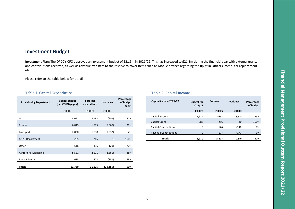# **Investment Budget**

**Investment Plan:** The OPCC's CFO approved an investment budget of £21.5m in 2021/22. This has increased to £21.8m during the financial year with external grants and contributions received, as well as revenue transfers to the reserve to cover items such as Mobile devices regarding the uplift in Officers, computer replacement etc.

Please refer to the table below for detail.

#### Table 1: Capital Expenditure Table 2: Capital Income

| <b>Provisioning Department</b> | <b>Capital budget</b><br>(per COMB paper) | <b>Forecast</b><br>expenditure | Variance     | Percentage<br>of budget<br>spent |
|--------------------------------|-------------------------------------------|--------------------------------|--------------|----------------------------------|
|                                | £'000's                                   | f'000's                        | £'000's      |                                  |
| IT                             | 5,091                                     | 4,188                          | (903)        | 82%                              |
| <b>Estates</b>                 | 6,845                                     | 1,785                          | (5,060)      | 26%                              |
| Transport                      | 2,830                                     | 1,798                          | (1,032)      | 64%                              |
| <b>ANPR Department</b>         | 265                                       | 266                            | $\mathbf{1}$ | 100%                             |
| Other                          | 516                                       | 395                            | (120)        | 77%                              |
| Ashford Re-Modelling           | 5,551                                     | 2,691                          | (2,860)      | 48%                              |
| Project Zenith                 | 683                                       | 502                            | (181)        | 73%                              |
| <b>Totals</b>                  | 21,780                                    | 11,625                         | (10, 155)    | 53%                              |

| Capital income 2021/22       | <b>Budget for</b><br>2021/22 | <b>Forecast</b> |         | Percentage<br>of budget |
|------------------------------|------------------------------|-----------------|---------|-------------------------|
|                              | £'000's                      | £'000's         | £'000's |                         |
| Capital Income               | 5,984                        | 2.667           | 3,317   | 45%                     |
| <b>Capital Grant</b>         | 286                          | 286             | (0)     | 100%                    |
| <b>Capital Contributions</b> | $\Omega$                     | 146             | (146)   | 0%                      |
| <b>Revenue Contributions</b> | $\Omega$                     | 177             | (177)   | 0%                      |
| Totals                       | 6,270                        | 3,277           | 2,994   | 52%                     |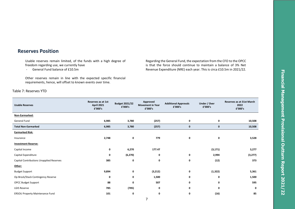# **Reserves Position**

Usable reserves remain limited, of the funds with a high degree of freedom regarding use, we currently have

- General Fund balance of £10.5m

Other reserves remain in line with the expected specific financial requirements, hence, will offset to known events over time.

#### Table 7: Reserves YTD

Regarding the General Fund, the expectation from the CFO to the OPCC is that the force should continue to maintain a balance of 3% Net Revenue Expenditure (NRE) each year. This is circa £10.5m in 2021/22.

| <b>Usable Reserves</b>                   | Reserves as at 1st<br><b>April 2021</b><br>£'000's | <b>Budget 2021/22</b><br>£'000's | Approved<br><b>Movement in Year</b><br>£'000's | <b>Additional Approvals</b><br>£'000's | Under / Over<br>f'000's | Reserves as at 31st March<br>2022<br>f'000's |
|------------------------------------------|----------------------------------------------------|----------------------------------|------------------------------------------------|----------------------------------------|-------------------------|----------------------------------------------|
| Non-Earmarked:                           |                                                    |                                  |                                                |                                        |                         |                                              |
| General Fund                             | 6,985                                              | 3,780                            | (257)                                          | 0                                      | 0                       | 10,508                                       |
| <b>Total Non-Earmarked</b>               | 6,985                                              | 3,780                            | (257)                                          | $\mathbf 0$                            | 0                       | 10,508                                       |
| <b>Earmarked Risk:</b>                   |                                                    |                                  |                                                |                                        |                         |                                              |
| Insurance                                | 2,748                                              | 0                                | 779                                            | 0                                      | 0                       | 3,528                                        |
| <b>Investment Reserve:</b>               |                                                    |                                  |                                                |                                        |                         |                                              |
| Capital Income                           | 0                                                  | 6,270                            | 177.47                                         |                                        | (3, 171)                | 3,277                                        |
| Capital Expenditure                      | 0                                                  | (6, 270)                         | 0                                              | 0                                      | 2,994                   | (3, 277)                                     |
| Capital Contributions Unapplied Reserves | 385                                                | 0                                | 0                                              | 0                                      | (12)                    | 373                                          |
| Other:                                   |                                                    |                                  |                                                |                                        |                         |                                              |
| <b>Budget Support</b>                    | 9,894                                              | 0                                | (3, 212)                                       | 0                                      | (1, 322)                | 5,361                                        |
| Op Brock/Stack Contingency Reserve       | 0                                                  | 0                                | 1,500                                          | 0                                      | 0                       | 1,500                                        |
| <b>OPCC Budget Support</b>               | 88                                                 | 0                                | 507                                            | 0                                      | 0                       | 595                                          |
| LGIS Reserve                             | 785                                                | (785)                            | 0                                              | 0                                      | 0                       | 0                                            |
| <b>ERSOU Property Maintenance Fund</b>   | 101                                                | 0                                | 0                                              | 0                                      | (16)                    | 85                                           |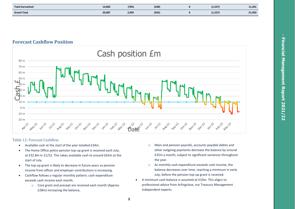| <b>Total Earmarked</b> | 14,002 | (785) | (248) | (1,527) | 11,441 |
|------------------------|--------|-------|-------|---------|--------|
| <b>Grand Total</b>     | 20,987 | 2,995 | (505) | (1,527) | 21,950 |

**Forecast Cashflow Position**



#### Table 12: Forecast Cashflow

- Available cash at the start of the year totalled £34m.
- The Home Office police pension top-up grant is received each July, at £32.8m in 21/22. This takes available cash to around £65m at the start of July.
- The top-up grant is likely to decrease in future years as pension income from officer and employer contributions is increasing.
- Cashflow follows a regular monthly pattern; cash expenditure exceeds cash income each month.
	- o Core grant and precept are received each month (Approx. £28m) increasing the balance,
- o Main and pension payrolls, accounts payable debits and other outgoing payments decrease the balance by around £35m a month, subject to significant variances throughout the year.
- o As monthly cash expenditure exceeds cash income, the balance decreases over time, reaching a minimum in early July, before the pension top-up grant is received.
- A minimum cash balance is assumed at £10m. This aligns to professional advice from Arlingclose, our Treasury Management independent experts.